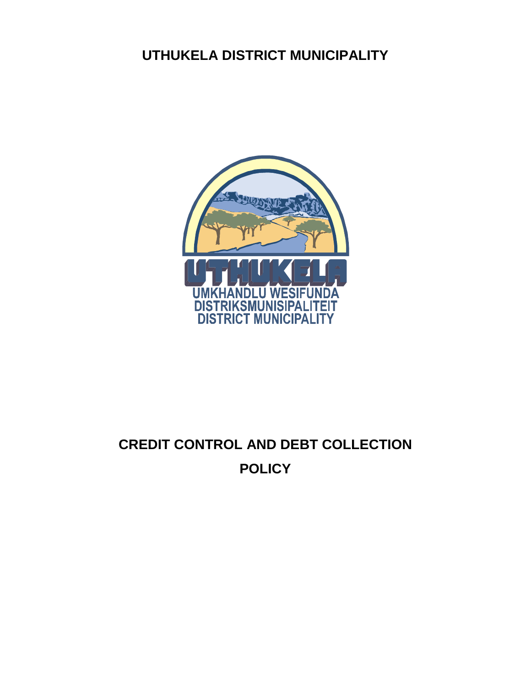# **UTHUKELA DISTRICT MUNICIPALITY**



# **CREDIT CONTROL AND DEBT COLLECTION POLICY**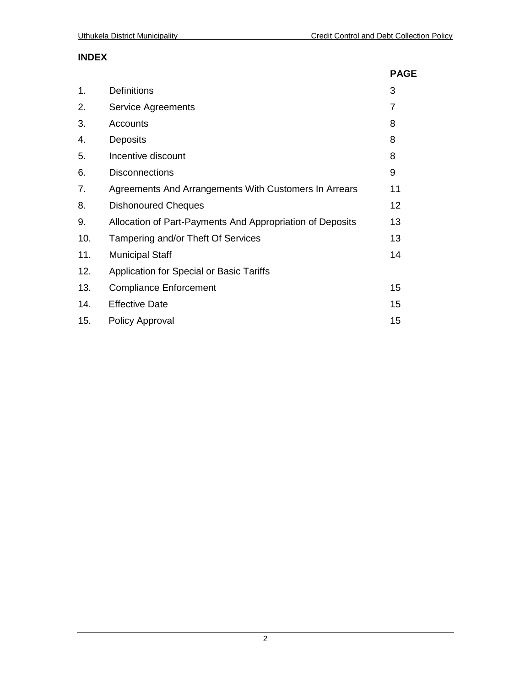# **INDEX**

|     |                                                           | <b>PAGE</b> |
|-----|-----------------------------------------------------------|-------------|
| 1.  | <b>Definitions</b>                                        | 3           |
| 2.  | <b>Service Agreements</b>                                 | 7           |
| 3.  | Accounts                                                  | 8           |
| 4.  | <b>Deposits</b>                                           | 8           |
| 5.  | Incentive discount                                        | 8           |
| 6.  | <b>Disconnections</b>                                     | 9           |
| 7.  | Agreements And Arrangements With Customers In Arrears     | 11          |
| 8.  | <b>Dishonoured Cheques</b>                                | 12          |
| 9.  | Allocation of Part-Payments And Appropriation of Deposits | 13          |
| 10. | Tampering and/or Theft Of Services                        | 13          |
| 11. | <b>Municipal Staff</b>                                    | 14          |
| 12. | Application for Special or Basic Tariffs                  |             |
| 13. | <b>Compliance Enforcement</b>                             | 15          |
| 14. | <b>Effective Date</b>                                     | 15          |
| 15. | <b>Policy Approval</b>                                    | 15          |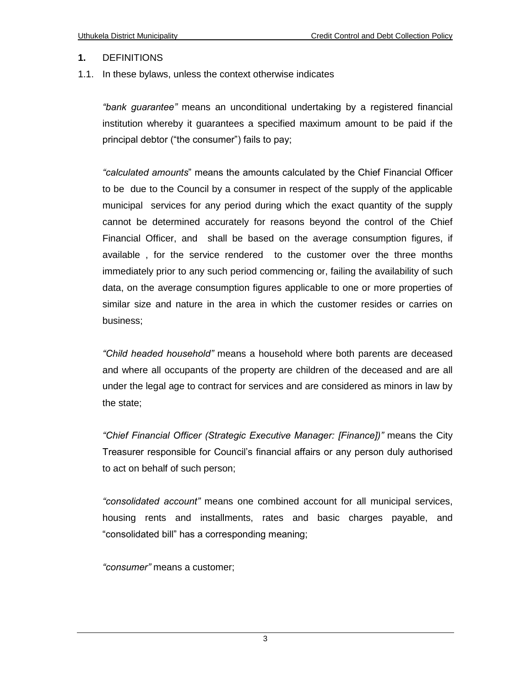#### **1.** DEFINITIONS

1.1. In these bylaws, unless the context otherwise indicates

*"bank guarantee"* means an unconditional undertaking by a registered financial institution whereby it guarantees a specified maximum amount to be paid if the principal debtor ("the consumer") fails to pay;

*"calculated amounts*" means the amounts calculated by the Chief Financial Officer to be due to the Council by a consumer in respect of the supply of the applicable municipal services for any period during which the exact quantity of the supply cannot be determined accurately for reasons beyond the control of the Chief Financial Officer, and shall be based on the average consumption figures, if available , for the service rendered to the customer over the three months immediately prior to any such period commencing or, failing the availability of such data, on the average consumption figures applicable to one or more properties of similar size and nature in the area in which the customer resides or carries on business;

*"Child headed household"* means a household where both parents are deceased and where all occupants of the property are children of the deceased and are all under the legal age to contract for services and are considered as minors in law by the state;

*"Chief Financial Officer (Strategic Executive Manager: [Finance])"* means the City Treasurer responsible for Council's financial affairs or any person duly authorised to act on behalf of such person;

*"consolidated account"* means one combined account for all municipal services, housing rents and installments, rates and basic charges payable, and "consolidated bill" has a corresponding meaning;

*"consumer"* means a customer;

3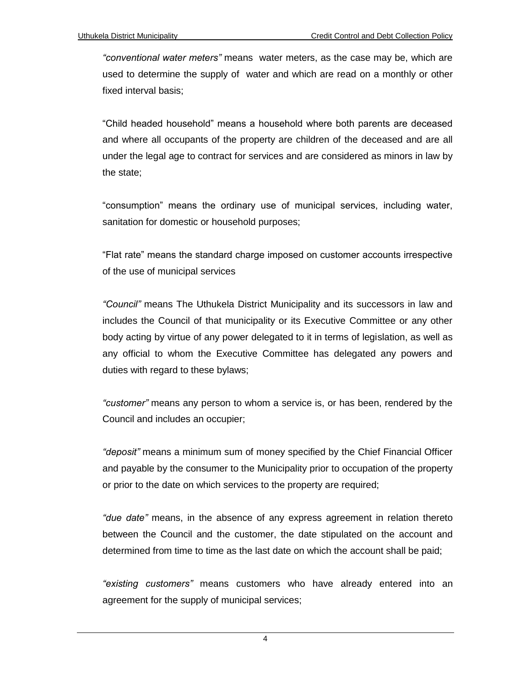*"conventional water meters"* means water meters, as the case may be, which are used to determine the supply of water and which are read on a monthly or other fixed interval basis;

"Child headed household" means a household where both parents are deceased and where all occupants of the property are children of the deceased and are all under the legal age to contract for services and are considered as minors in law by the state;

"consumption" means the ordinary use of municipal services, including water, sanitation for domestic or household purposes;

"Flat rate" means the standard charge imposed on customer accounts irrespective of the use of municipal services

*"Council"* means The Uthukela District Municipality and its successors in law and includes the Council of that municipality or its Executive Committee or any other body acting by virtue of any power delegated to it in terms of legislation, as well as any official to whom the Executive Committee has delegated any powers and duties with regard to these bylaws;

*"customer"* means any person to whom a service is, or has been, rendered by the Council and includes an occupier;

*"deposit"* means a minimum sum of money specified by the Chief Financial Officer and payable by the consumer to the Municipality prior to occupation of the property or prior to the date on which services to the property are required;

*"due date"* means, in the absence of any express agreement in relation thereto between the Council and the customer, the date stipulated on the account and determined from time to time as the last date on which the account shall be paid;

*"existing customers"* means customers who have already entered into an agreement for the supply of municipal services;

4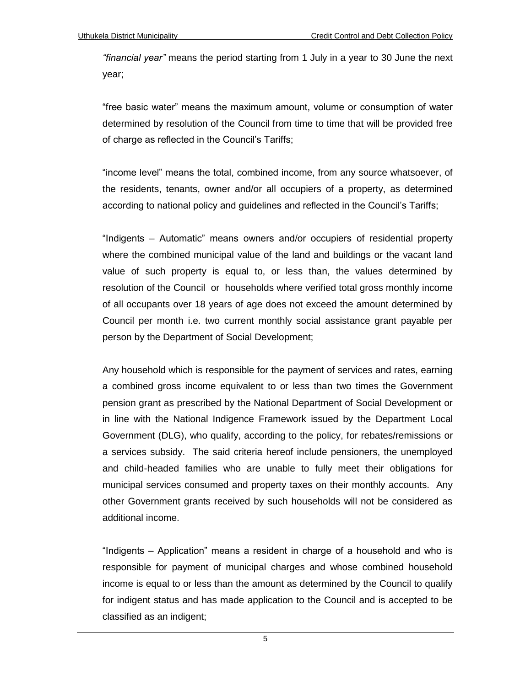*"financial year"* means the period starting from 1 July in a year to 30 June the next year;

"free basic water" means the maximum amount, volume or consumption of water determined by resolution of the Council from time to time that will be provided free of charge as reflected in the Council's Tariffs;

"income level" means the total, combined income, from any source whatsoever, of the residents, tenants, owner and/or all occupiers of a property, as determined according to national policy and guidelines and reflected in the Council's Tariffs;

"Indigents – Automatic" means owners and/or occupiers of residential property where the combined municipal value of the land and buildings or the vacant land value of such property is equal to, or less than, the values determined by resolution of the Council or households where verified total gross monthly income of all occupants over 18 years of age does not exceed the amount determined by Council per month i.e. two current monthly social assistance grant payable per person by the Department of Social Development;

Any household which is responsible for the payment of services and rates, earning a combined gross income equivalent to or less than two times the Government pension grant as prescribed by the National Department of Social Development or in line with the National Indigence Framework issued by the Department Local Government (DLG), who qualify, according to the policy, for rebates/remissions or a services subsidy. The said criteria hereof include pensioners, the unemployed and child-headed families who are unable to fully meet their obligations for municipal services consumed and property taxes on their monthly accounts. Any other Government grants received by such households will not be considered as additional income.

"Indigents – Application" means a resident in charge of a household and who is responsible for payment of municipal charges and whose combined household income is equal to or less than the amount as determined by the Council to qualify for indigent status and has made application to the Council and is accepted to be classified as an indigent;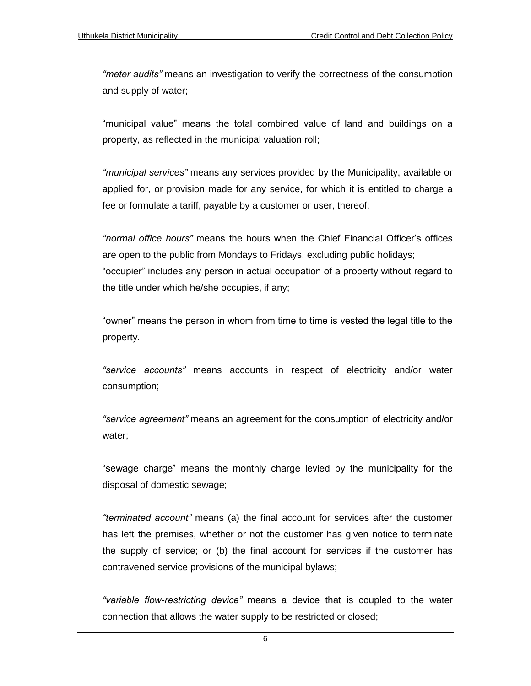*"meter audits"* means an investigation to verify the correctness of the consumption and supply of water;

"municipal value" means the total combined value of land and buildings on a property, as reflected in the municipal valuation roll;

*"municipal services"* means any services provided by the Municipality, available or applied for, or provision made for any service, for which it is entitled to charge a fee or formulate a tariff, payable by a customer or user, thereof;

*"normal office hours"* means the hours when the Chief Financial Officer's offices are open to the public from Mondays to Fridays, excluding public holidays; "occupier" includes any person in actual occupation of a property without regard to the title under which he/she occupies, if any;

"owner" means the person in whom from time to time is vested the legal title to the property.

*"service accounts"* means accounts in respect of electricity and/or water consumption;

*"service agreement"* means an agreement for the consumption of electricity and/or water;

"sewage charge" means the monthly charge levied by the municipality for the disposal of domestic sewage;

*"terminated account"* means (a) the final account for services after the customer has left the premises, whether or not the customer has given notice to terminate the supply of service; or (b) the final account for services if the customer has contravened service provisions of the municipal bylaws;

*"variable flow-restricting device"* means a device that is coupled to the water connection that allows the water supply to be restricted or closed;

6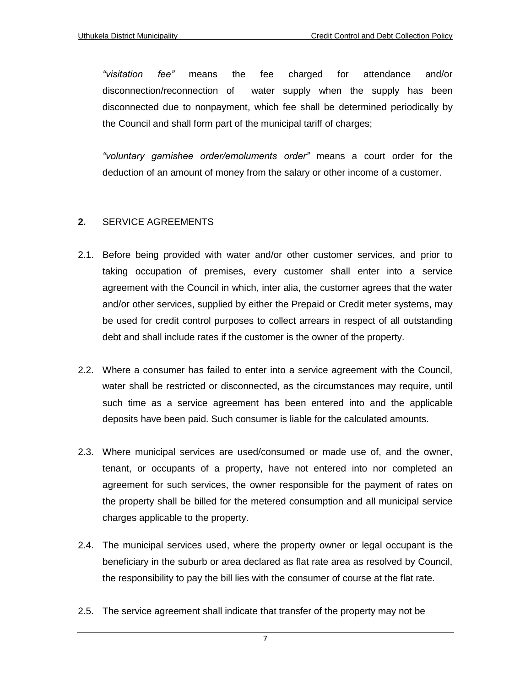*"visitation fee"* means the fee charged for attendance and/or disconnection/reconnection of water supply when the supply has been disconnected due to nonpayment, which fee shall be determined periodically by the Council and shall form part of the municipal tariff of charges;

*"voluntary garnishee order/emoluments order"* means a court order for the deduction of an amount of money from the salary or other income of a customer.

# **2.** SERVICE AGREEMENTS

- 2.1. Before being provided with water and/or other customer services, and prior to taking occupation of premises, every customer shall enter into a service agreement with the Council in which, inter alia, the customer agrees that the water and/or other services, supplied by either the Prepaid or Credit meter systems, may be used for credit control purposes to collect arrears in respect of all outstanding debt and shall include rates if the customer is the owner of the property.
- 2.2. Where a consumer has failed to enter into a service agreement with the Council, water shall be restricted or disconnected, as the circumstances may require, until such time as a service agreement has been entered into and the applicable deposits have been paid. Such consumer is liable for the calculated amounts.
- 2.3. Where municipal services are used/consumed or made use of, and the owner, tenant, or occupants of a property, have not entered into nor completed an agreement for such services, the owner responsible for the payment of rates on the property shall be billed for the metered consumption and all municipal service charges applicable to the property.
- 2.4. The municipal services used, where the property owner or legal occupant is the beneficiary in the suburb or area declared as flat rate area as resolved by Council, the responsibility to pay the bill lies with the consumer of course at the flat rate.
- 2.5. The service agreement shall indicate that transfer of the property may not be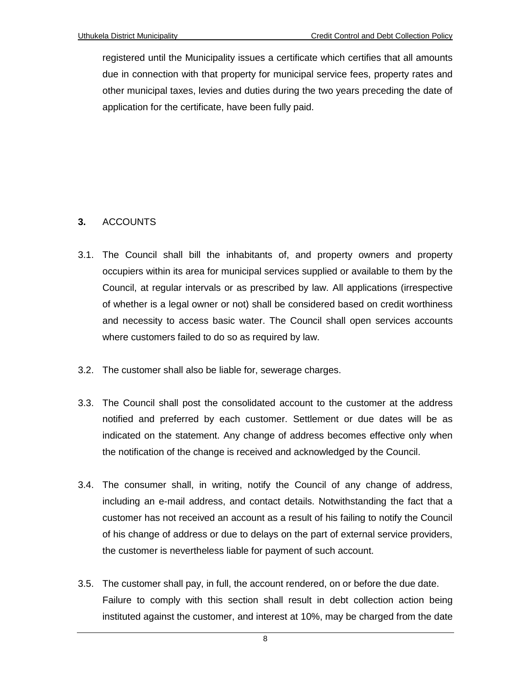registered until the Municipality issues a certificate which certifies that all amounts due in connection with that property for municipal service fees, property rates and other municipal taxes, levies and duties during the two years preceding the date of application for the certificate, have been fully paid.

# **3.** ACCOUNTS

- 3.1. The Council shall bill the inhabitants of, and property owners and property occupiers within its area for municipal services supplied or available to them by the Council, at regular intervals or as prescribed by law. All applications (irrespective of whether is a legal owner or not) shall be considered based on credit worthiness and necessity to access basic water. The Council shall open services accounts where customers failed to do so as required by law.
- 3.2. The customer shall also be liable for, sewerage charges.
- 3.3. The Council shall post the consolidated account to the customer at the address notified and preferred by each customer. Settlement or due dates will be as indicated on the statement. Any change of address becomes effective only when the notification of the change is received and acknowledged by the Council.
- 3.4. The consumer shall, in writing, notify the Council of any change of address, including an e-mail address, and contact details. Notwithstanding the fact that a customer has not received an account as a result of his failing to notify the Council of his change of address or due to delays on the part of external service providers, the customer is nevertheless liable for payment of such account.
- 3.5. The customer shall pay, in full, the account rendered, on or before the due date. Failure to comply with this section shall result in debt collection action being instituted against the customer, and interest at 10%, may be charged from the date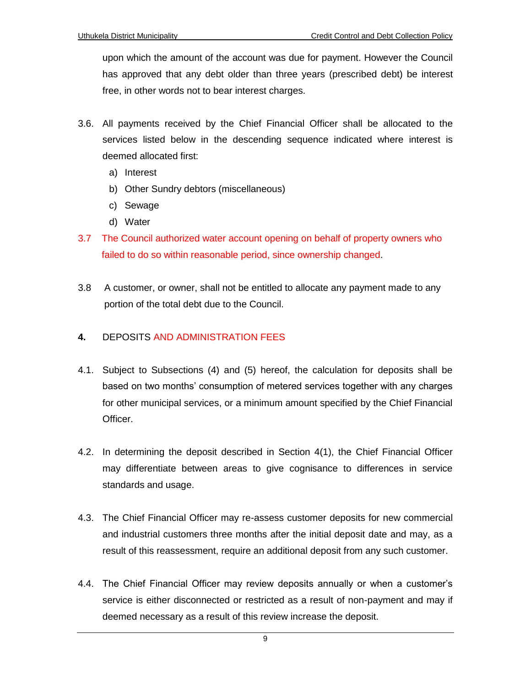upon which the amount of the account was due for payment. However the Council has approved that any debt older than three years (prescribed debt) be interest free, in other words not to bear interest charges.

- 3.6. All payments received by the Chief Financial Officer shall be allocated to the services listed below in the descending sequence indicated where interest is deemed allocated first:
	- a) Interest
	- b) Other Sundry debtors (miscellaneous)
	- c) Sewage
	- d) Water
- 3.7 The Council authorized water account opening on behalf of property owners who failed to do so within reasonable period, since ownership changed.
- 3.8 A customer, or owner, shall not be entitled to allocate any payment made to any portion of the total debt due to the Council.

# **4.** DEPOSITS AND ADMINISTRATION FEES

- 4.1. Subject to Subsections (4) and (5) hereof, the calculation for deposits shall be based on two months' consumption of metered services together with any charges for other municipal services, or a minimum amount specified by the Chief Financial Officer.
- 4.2. In determining the deposit described in Section 4(1), the Chief Financial Officer may differentiate between areas to give cognisance to differences in service standards and usage.
- 4.3. The Chief Financial Officer may re-assess customer deposits for new commercial and industrial customers three months after the initial deposit date and may, as a result of this reassessment, require an additional deposit from any such customer.
- 4.4. The Chief Financial Officer may review deposits annually or when a customer's service is either disconnected or restricted as a result of non-payment and may if deemed necessary as a result of this review increase the deposit.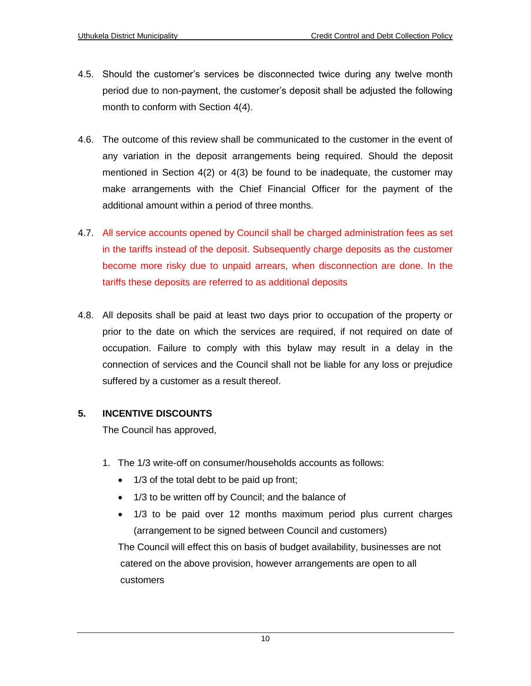- 4.5. Should the customer's services be disconnected twice during any twelve month period due to non-payment, the customer's deposit shall be adjusted the following month to conform with Section 4(4).
- 4.6. The outcome of this review shall be communicated to the customer in the event of any variation in the deposit arrangements being required. Should the deposit mentioned in Section 4(2) or 4(3) be found to be inadequate, the customer may make arrangements with the Chief Financial Officer for the payment of the additional amount within a period of three months.
- 4.7. All service accounts opened by Council shall be charged administration fees as set in the tariffs instead of the deposit. Subsequently charge deposits as the customer become more risky due to unpaid arrears, when disconnection are done. In the tariffs these deposits are referred to as additional deposits
- 4.8. All deposits shall be paid at least two days prior to occupation of the property or prior to the date on which the services are required, if not required on date of occupation. Failure to comply with this bylaw may result in a delay in the connection of services and the Council shall not be liable for any loss or prejudice suffered by a customer as a result thereof.

# **5. INCENTIVE DISCOUNTS**

The Council has approved,

- 1. The 1/3 write-off on consumer/households accounts as follows:
	- 1/3 of the total debt to be paid up front;
	- 1/3 to be written off by Council; and the balance of
	- 1/3 to be paid over 12 months maximum period plus current charges (arrangement to be signed between Council and customers)

The Council will effect this on basis of budget availability, businesses are not catered on the above provision, however arrangements are open to all customers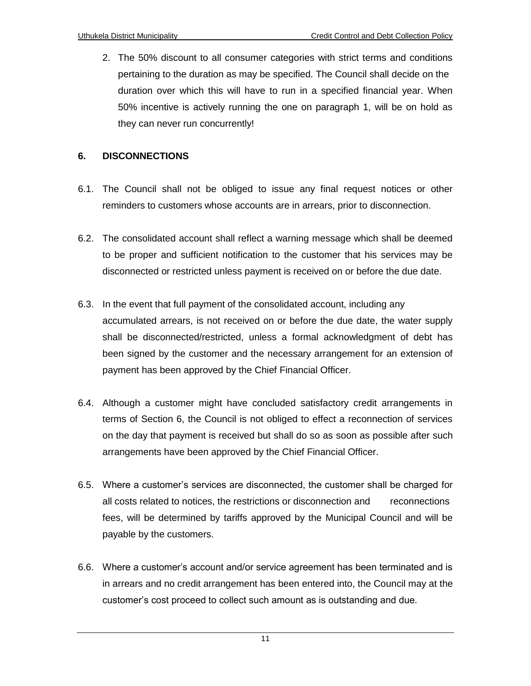2. The 50% discount to all consumer categories with strict terms and conditions pertaining to the duration as may be specified. The Council shall decide on the duration over which this will have to run in a specified financial year. When 50% incentive is actively running the one on paragraph 1, will be on hold as they can never run concurrently!

# **6. DISCONNECTIONS**

- 6.1. The Council shall not be obliged to issue any final request notices or other reminders to customers whose accounts are in arrears, prior to disconnection.
- 6.2. The consolidated account shall reflect a warning message which shall be deemed to be proper and sufficient notification to the customer that his services may be disconnected or restricted unless payment is received on or before the due date.
- 6.3. In the event that full payment of the consolidated account, including any accumulated arrears, is not received on or before the due date, the water supply shall be disconnected/restricted, unless a formal acknowledgment of debt has been signed by the customer and the necessary arrangement for an extension of payment has been approved by the Chief Financial Officer.
- 6.4. Although a customer might have concluded satisfactory credit arrangements in terms of Section 6, the Council is not obliged to effect a reconnection of services on the day that payment is received but shall do so as soon as possible after such arrangements have been approved by the Chief Financial Officer.
- 6.5. Where a customer's services are disconnected, the customer shall be charged for all costs related to notices, the restrictions or disconnection and reconnections fees, will be determined by tariffs approved by the Municipal Council and will be payable by the customers.
- 6.6. Where a customer's account and/or service agreement has been terminated and is in arrears and no credit arrangement has been entered into, the Council may at the customer's cost proceed to collect such amount as is outstanding and due.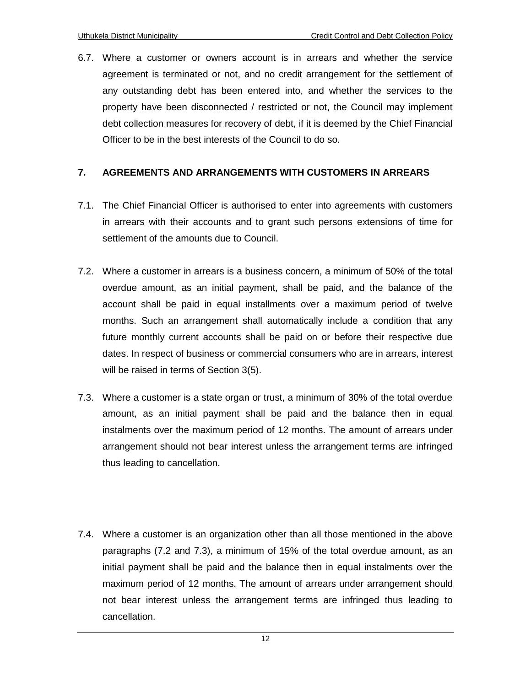6.7. Where a customer or owners account is in arrears and whether the service agreement is terminated or not, and no credit arrangement for the settlement of any outstanding debt has been entered into, and whether the services to the property have been disconnected / restricted or not, the Council may implement debt collection measures for recovery of debt, if it is deemed by the Chief Financial Officer to be in the best interests of the Council to do so.

#### **7. AGREEMENTS AND ARRANGEMENTS WITH CUSTOMERS IN ARREARS**

- 7.1. The Chief Financial Officer is authorised to enter into agreements with customers in arrears with their accounts and to grant such persons extensions of time for settlement of the amounts due to Council.
- 7.2. Where a customer in arrears is a business concern, a minimum of 50% of the total overdue amount, as an initial payment, shall be paid, and the balance of the account shall be paid in equal installments over a maximum period of twelve months. Such an arrangement shall automatically include a condition that any future monthly current accounts shall be paid on or before their respective due dates. In respect of business or commercial consumers who are in arrears, interest will be raised in terms of Section 3(5).
- 7.3. Where a customer is a state organ or trust, a minimum of 30% of the total overdue amount, as an initial payment shall be paid and the balance then in equal instalments over the maximum period of 12 months. The amount of arrears under arrangement should not bear interest unless the arrangement terms are infringed thus leading to cancellation.
- 7.4. Where a customer is an organization other than all those mentioned in the above paragraphs (7.2 and 7.3), a minimum of 15% of the total overdue amount, as an initial payment shall be paid and the balance then in equal instalments over the maximum period of 12 months. The amount of arrears under arrangement should not bear interest unless the arrangement terms are infringed thus leading to cancellation.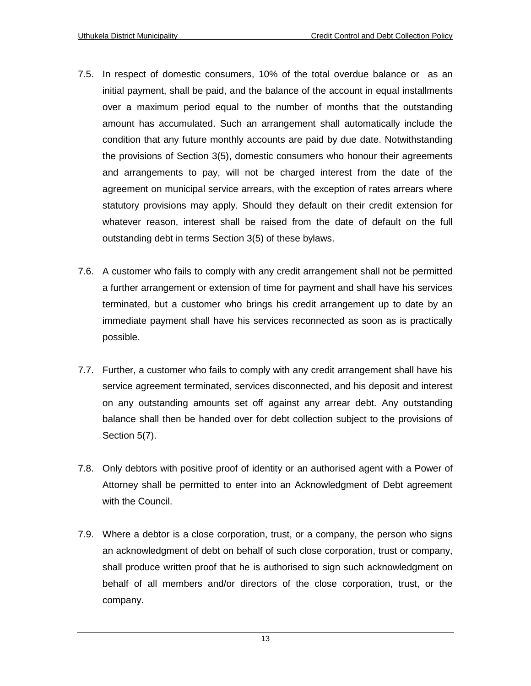- 7.5. In respect of domestic consumers, 10% of the total overdue balance or as an initial payment, shall be paid, and the balance of the account in equal installments over a maximum period equal to the number of months that the outstanding amount has accumulated. Such an arrangement shall automatically include the condition that any future monthly accounts are paid by due date. Notwithstanding the provisions of Section 3(5), domestic consumers who honour their agreements and arrangements to pay, will not be charged interest from the date of the agreement on municipal service arrears, with the exception of rates arrears where statutory provisions may apply. Should they default on their credit extension for whatever reason, interest shall be raised from the date of default on the full outstanding debt in terms Section 3(5) of these bylaws.
- 7.6. A customer who fails to comply with any credit arrangement shall not be permitted a further arrangement or extension of time for payment and shall have his services terminated, but a customer who brings his credit arrangement up to date by an immediate payment shall have his services reconnected as soon as is practically possible.
- 7.7. Further, a customer who fails to comply with any credit arrangement shall have his service agreement terminated, services disconnected, and his deposit and interest on any outstanding amounts set off against any arrear debt. Any outstanding balance shall then be handed over for debt collection subject to the provisions of Section 5(7).
- 7.8. Only debtors with positive proof of identity or an authorised agent with a Power of Attorney shall be permitted to enter into an Acknowledgment of Debt agreement with the Council.
- 7.9. Where a debtor is a close corporation, trust, or a company, the person who signs an acknowledgment of debt on behalf of such close corporation, trust or company, shall produce written proof that he is authorised to sign such acknowledgment on behalf of all members and/or directors of the close corporation, trust, or the company.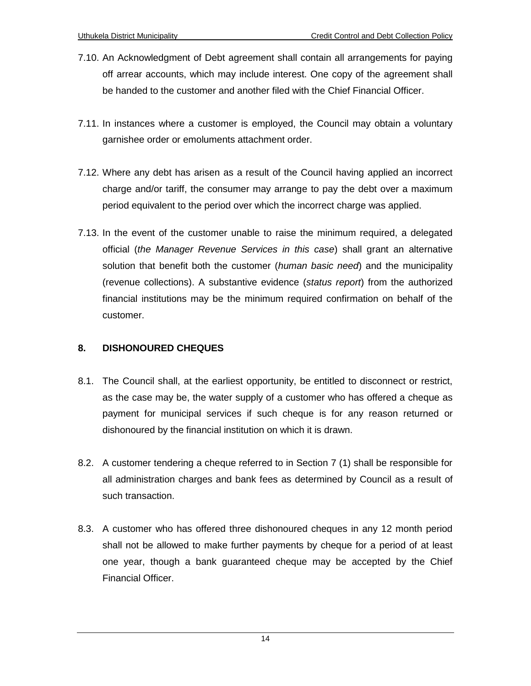- 7.10. An Acknowledgment of Debt agreement shall contain all arrangements for paying off arrear accounts, which may include interest. One copy of the agreement shall be handed to the customer and another filed with the Chief Financial Officer.
- 7.11. In instances where a customer is employed, the Council may obtain a voluntary garnishee order or emoluments attachment order.
- 7.12. Where any debt has arisen as a result of the Council having applied an incorrect charge and/or tariff, the consumer may arrange to pay the debt over a maximum period equivalent to the period over which the incorrect charge was applied.
- 7.13. In the event of the customer unable to raise the minimum required, a delegated official (*the Manager Revenue Services in this case*) shall grant an alternative solution that benefit both the customer (*human basic need*) and the municipality (revenue collections). A substantive evidence (*status report*) from the authorized financial institutions may be the minimum required confirmation on behalf of the customer.

# **8. DISHONOURED CHEQUES**

- 8.1. The Council shall, at the earliest opportunity, be entitled to disconnect or restrict, as the case may be, the water supply of a customer who has offered a cheque as payment for municipal services if such cheque is for any reason returned or dishonoured by the financial institution on which it is drawn.
- 8.2. A customer tendering a cheque referred to in Section 7 (1) shall be responsible for all administration charges and bank fees as determined by Council as a result of such transaction.
- 8.3. A customer who has offered three dishonoured cheques in any 12 month period shall not be allowed to make further payments by cheque for a period of at least one year, though a bank guaranteed cheque may be accepted by the Chief Financial Officer.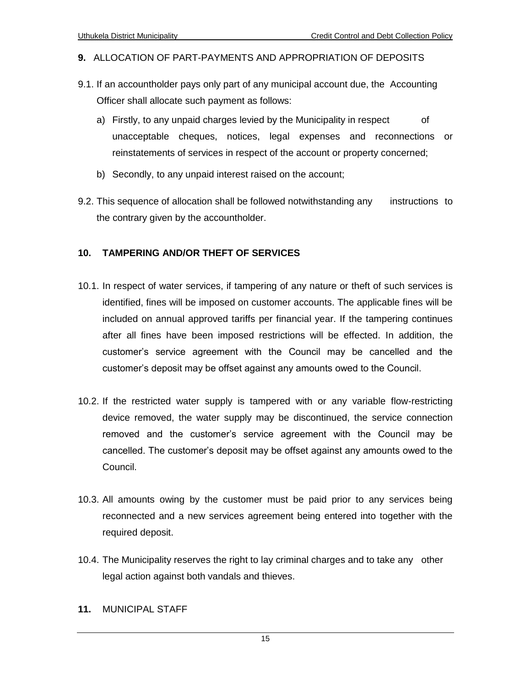#### **9.** ALLOCATION OF PART-PAYMENTS AND APPROPRIATION OF DEPOSITS

- 9.1. If an accountholder pays only part of any municipal account due, the Accounting Officer shall allocate such payment as follows:
	- a) Firstly, to any unpaid charges levied by the Municipality in respect of unacceptable cheques, notices, legal expenses and reconnections or reinstatements of services in respect of the account or property concerned;
	- b) Secondly, to any unpaid interest raised on the account;
- 9.2. This sequence of allocation shall be followed notwithstanding any instructions to the contrary given by the accountholder.

#### **10. TAMPERING AND/OR THEFT OF SERVICES**

- 10.1. In respect of water services, if tampering of any nature or theft of such services is identified, fines will be imposed on customer accounts. The applicable fines will be included on annual approved tariffs per financial year. If the tampering continues after all fines have been imposed restrictions will be effected. In addition, the customer's service agreement with the Council may be cancelled and the customer's deposit may be offset against any amounts owed to the Council.
- 10.2. If the restricted water supply is tampered with or any variable flow-restricting device removed, the water supply may be discontinued, the service connection removed and the customer's service agreement with the Council may be cancelled. The customer's deposit may be offset against any amounts owed to the Council.
- 10.3. All amounts owing by the customer must be paid prior to any services being reconnected and a new services agreement being entered into together with the required deposit.
- 10.4. The Municipality reserves the right to lay criminal charges and to take any other legal action against both vandals and thieves.
- **11.** MUNICIPAL STAFF